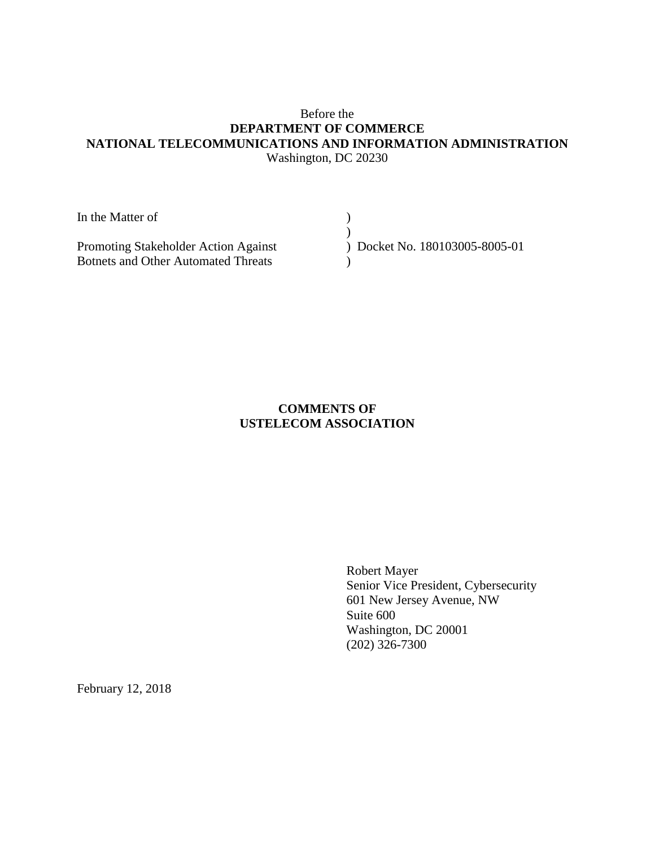## Before the **DEPARTMENT OF COMMERCE NATIONAL TELECOMMUNICATIONS AND INFORMATION ADMINISTRATION** Washington, DC 20230

| In the Matter of                           |                              |
|--------------------------------------------|------------------------------|
|                                            |                              |
| Promoting Stakeholder Action Against       | Docket No. 180103005-8005-01 |
| <b>Botnets and Other Automated Threats</b> |                              |

# **COMMENTS OF USTELECOM ASSOCIATION**

Robert Mayer Senior Vice President, Cybersecurity 601 New Jersey Avenue, NW Suite 600 Washington, DC 20001 (202) 326-7300

February 12, 2018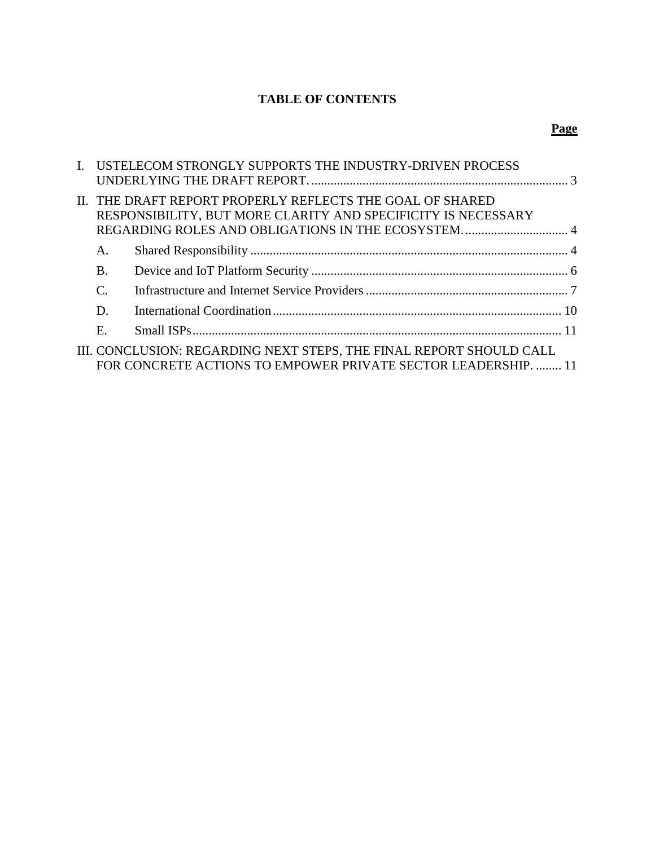# **TABLE OF CONTENTS**

# **Page**

|           | I. USTELECOM STRONGLY SUPPORTS THE INDUSTRY-DRIVEN PROCESS          |  |
|-----------|---------------------------------------------------------------------|--|
|           |                                                                     |  |
|           | II. THE DRAFT REPORT PROPERLY REFLECTS THE GOAL OF SHARED           |  |
|           | RESPONSIBILITY, BUT MORE CLARITY AND SPECIFICITY IS NECESSARY       |  |
|           |                                                                     |  |
| А.        |                                                                     |  |
| <b>B.</b> |                                                                     |  |
| C.        |                                                                     |  |
| D.        |                                                                     |  |
| Ε.        |                                                                     |  |
|           | III. CONCLUSION: REGARDING NEXT STEPS, THE FINAL REPORT SHOULD CALL |  |
|           | FOR CONCRETE ACTIONS TO EMPOWER PRIVATE SECTOR LEADERSHIP.  11      |  |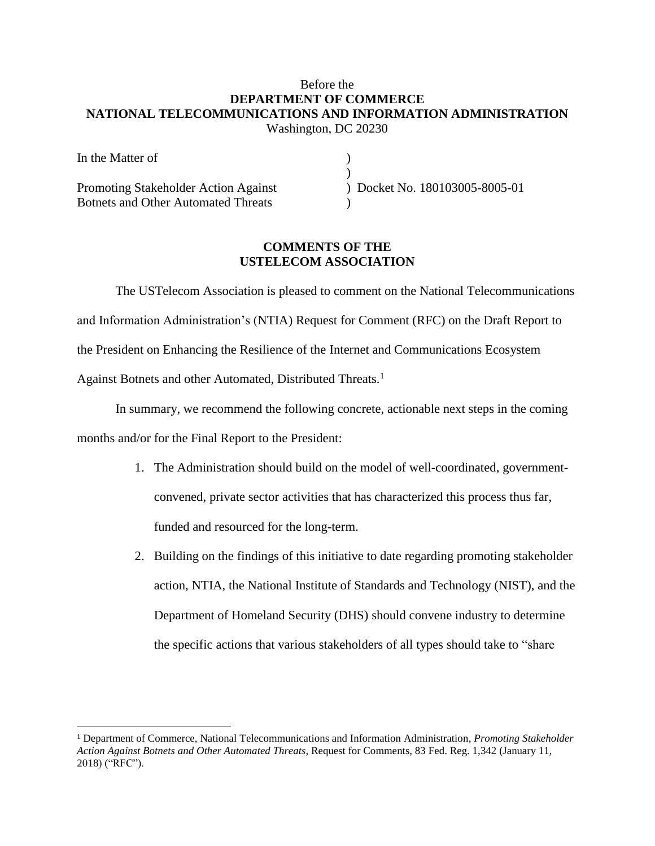## Before the **DEPARTMENT OF COMMERCE NATIONAL TELECOMMUNICATIONS AND INFORMATION ADMINISTRATION** Washington, DC 20230

| In the Matter of                           |                              |
|--------------------------------------------|------------------------------|
|                                            |                              |
| Promoting Stakeholder Action Against       | Docket No. 180103005-8005-01 |
| <b>Botnets and Other Automated Threats</b> |                              |

## **COMMENTS OF THE USTELECOM ASSOCIATION**

The USTelecom Association is pleased to comment on the National Telecommunications and Information Administration's (NTIA) Request for Comment (RFC) on the Draft Report to the President on Enhancing the Resilience of the Internet and Communications Ecosystem Against Botnets and other Automated, Distributed Threats.<sup>1</sup>

In summary, we recommend the following concrete, actionable next steps in the coming months and/or for the Final Report to the President:

- 1. The Administration should build on the model of well-coordinated, governmentconvened, private sector activities that has characterized this process thus far, funded and resourced for the long-term.
- 2. Building on the findings of this initiative to date regarding promoting stakeholder action, NTIA, the National Institute of Standards and Technology (NIST), and the Department of Homeland Security (DHS) should convene industry to determine the specific actions that various stakeholders of all types should take to "share

 $\overline{a}$ 

<sup>1</sup> Department of Commerce, National Telecommunications and Information Administration, *Promoting Stakeholder Action Against Botnets and Other Automated Threats*, Request for Comments, 83 Fed. Reg. 1,342 (January 11, 2018) ("RFC").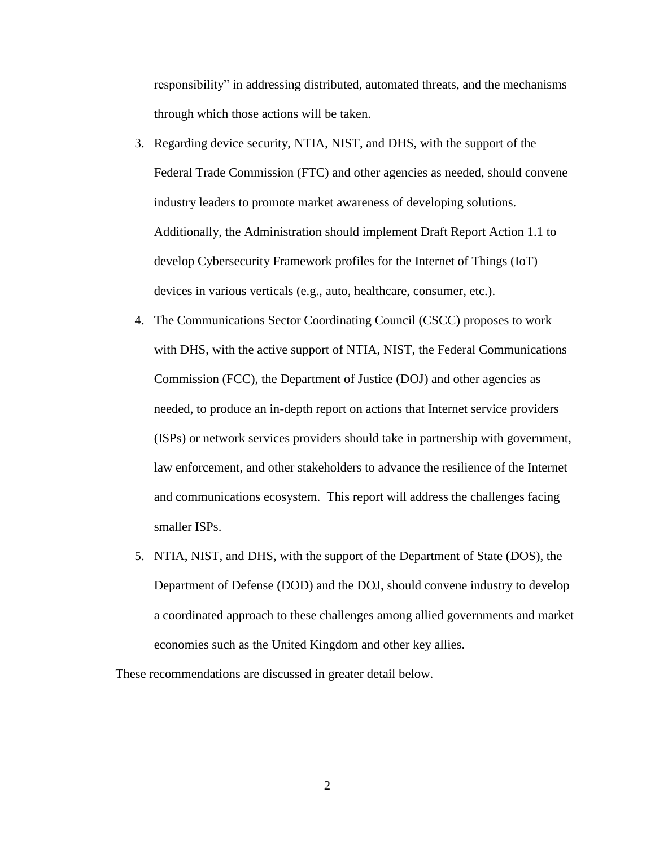responsibility" in addressing distributed, automated threats, and the mechanisms through which those actions will be taken.

- 3. Regarding device security, NTIA, NIST, and DHS, with the support of the Federal Trade Commission (FTC) and other agencies as needed, should convene industry leaders to promote market awareness of developing solutions. Additionally, the Administration should implement Draft Report Action 1.1 to develop Cybersecurity Framework profiles for the Internet of Things (IoT) devices in various verticals (e.g., auto, healthcare, consumer, etc.).
- 4. The Communications Sector Coordinating Council (CSCC) proposes to work with DHS, with the active support of NTIA, NIST, the Federal Communications Commission (FCC), the Department of Justice (DOJ) and other agencies as needed, to produce an in-depth report on actions that Internet service providers (ISPs) or network services providers should take in partnership with government, law enforcement, and other stakeholders to advance the resilience of the Internet and communications ecosystem. This report will address the challenges facing smaller ISPs.
- 5. NTIA, NIST, and DHS, with the support of the Department of State (DOS), the Department of Defense (DOD) and the DOJ, should convene industry to develop a coordinated approach to these challenges among allied governments and market economies such as the United Kingdom and other key allies.

These recommendations are discussed in greater detail below.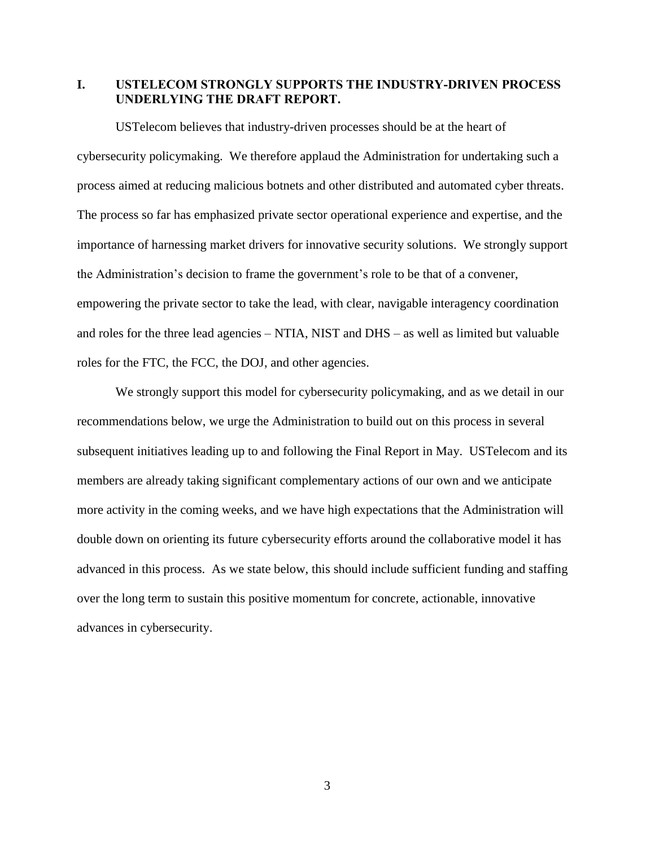<span id="page-4-0"></span>**I. USTELECOM STRONGLY SUPPORTS THE INDUSTRY-DRIVEN PROCESS UNDERLYING THE DRAFT REPORT.**

USTelecom believes that industry-driven processes should be at the heart of cybersecurity policymaking. We therefore applaud the Administration for undertaking such a process aimed at reducing malicious botnets and other distributed and automated cyber threats. The process so far has emphasized private sector operational experience and expertise, and the importance of harnessing market drivers for innovative security solutions. We strongly support the Administration's decision to frame the government's role to be that of a convener, empowering the private sector to take the lead, with clear, navigable interagency coordination and roles for the three lead agencies – NTIA, NIST and DHS – as well as limited but valuable roles for the FTC, the FCC, the DOJ, and other agencies.

We strongly support this model for cybersecurity policymaking, and as we detail in our recommendations below, we urge the Administration to build out on this process in several subsequent initiatives leading up to and following the Final Report in May. USTelecom and its members are already taking significant complementary actions of our own and we anticipate more activity in the coming weeks, and we have high expectations that the Administration will double down on orienting its future cybersecurity efforts around the collaborative model it has advanced in this process. As we state below, this should include sufficient funding and staffing over the long term to sustain this positive momentum for concrete, actionable, innovative advances in cybersecurity.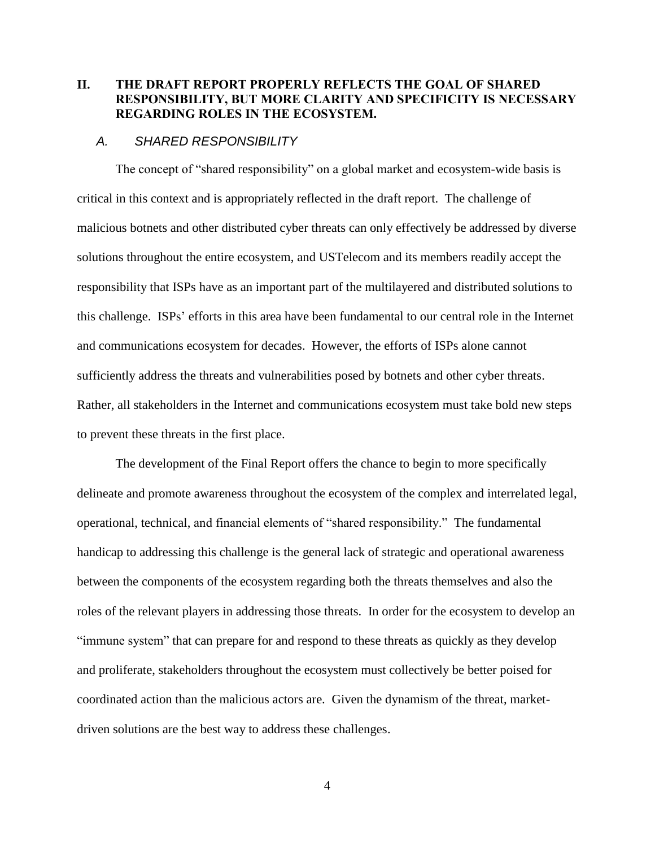## <span id="page-5-0"></span>**II. THE DRAFT REPORT PROPERLY REFLECTS THE GOAL OF SHARED RESPONSIBILITY, BUT MORE CLARITY AND SPECIFICITY IS NECESSARY REGARDING ROLES IN THE ECOSYSTEM.**

#### <span id="page-5-1"></span>*A. SHARED RESPONSIBILITY*

The concept of "shared responsibility" on a global market and ecosystem-wide basis is critical in this context and is appropriately reflected in the draft report. The challenge of malicious botnets and other distributed cyber threats can only effectively be addressed by diverse solutions throughout the entire ecosystem, and USTelecom and its members readily accept the responsibility that ISPs have as an important part of the multilayered and distributed solutions to this challenge. ISPs' efforts in this area have been fundamental to our central role in the Internet and communications ecosystem for decades. However, the efforts of ISPs alone cannot sufficiently address the threats and vulnerabilities posed by botnets and other cyber threats. Rather, all stakeholders in the Internet and communications ecosystem must take bold new steps to prevent these threats in the first place.

The development of the Final Report offers the chance to begin to more specifically delineate and promote awareness throughout the ecosystem of the complex and interrelated legal, operational, technical, and financial elements of "shared responsibility." The fundamental handicap to addressing this challenge is the general lack of strategic and operational awareness between the components of the ecosystem regarding both the threats themselves and also the roles of the relevant players in addressing those threats. In order for the ecosystem to develop an "immune system" that can prepare for and respond to these threats as quickly as they develop and proliferate, stakeholders throughout the ecosystem must collectively be better poised for coordinated action than the malicious actors are. Given the dynamism of the threat, marketdriven solutions are the best way to address these challenges.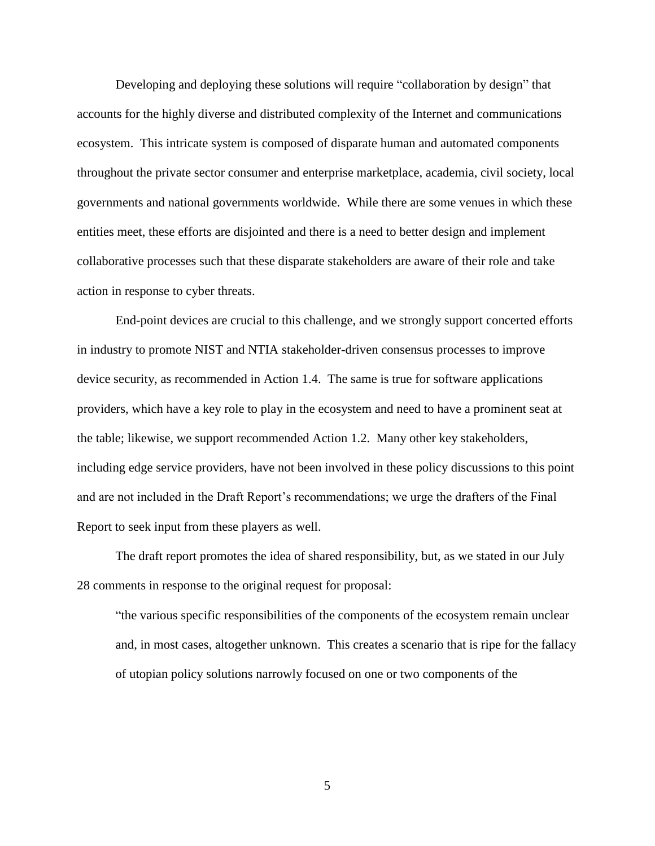Developing and deploying these solutions will require "collaboration by design" that accounts for the highly diverse and distributed complexity of the Internet and communications ecosystem. This intricate system is composed of disparate human and automated components throughout the private sector consumer and enterprise marketplace, academia, civil society, local governments and national governments worldwide. While there are some venues in which these entities meet, these efforts are disjointed and there is a need to better design and implement collaborative processes such that these disparate stakeholders are aware of their role and take action in response to cyber threats.

End-point devices are crucial to this challenge, and we strongly support concerted efforts in industry to promote NIST and NTIA stakeholder-driven consensus processes to improve device security, as recommended in Action 1.4. The same is true for software applications providers, which have a key role to play in the ecosystem and need to have a prominent seat at the table; likewise, we support recommended Action 1.2. Many other key stakeholders, including edge service providers, have not been involved in these policy discussions to this point and are not included in the Draft Report's recommendations; we urge the drafters of the Final Report to seek input from these players as well.

The draft report promotes the idea of shared responsibility, but, as we stated in our July 28 comments in response to the original request for proposal:

"the various specific responsibilities of the components of the ecosystem remain unclear and, in most cases, altogether unknown. This creates a scenario that is ripe for the fallacy of utopian policy solutions narrowly focused on one or two components of the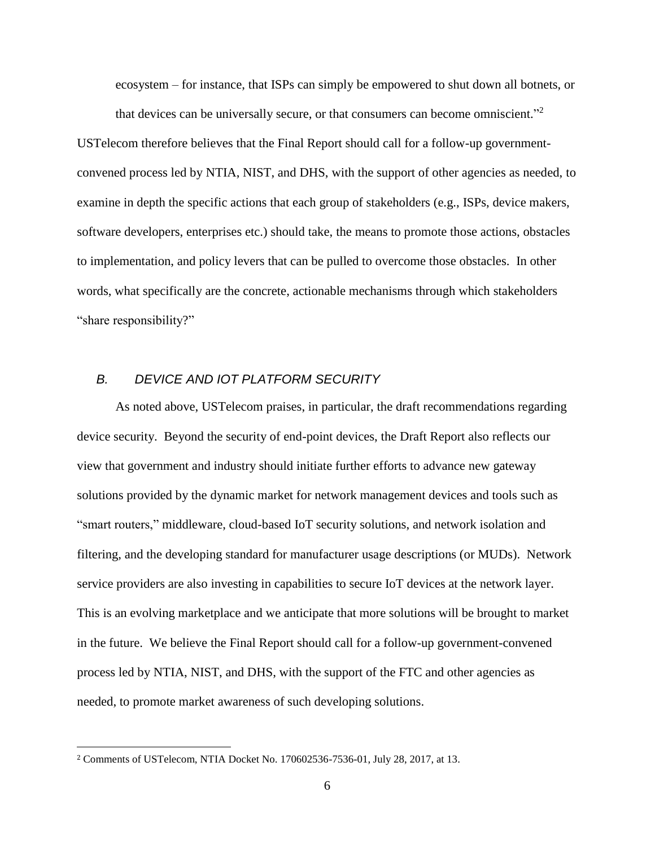ecosystem – for instance, that ISPs can simply be empowered to shut down all botnets, or that devices can be universally secure, or that consumers can become omniscient." 2

USTelecom therefore believes that the Final Report should call for a follow-up governmentconvened process led by NTIA, NIST, and DHS, with the support of other agencies as needed, to examine in depth the specific actions that each group of stakeholders (e.g., ISPs, device makers, software developers, enterprises etc.) should take, the means to promote those actions, obstacles to implementation, and policy levers that can be pulled to overcome those obstacles. In other words, what specifically are the concrete, actionable mechanisms through which stakeholders "share responsibility?"

### <span id="page-7-0"></span>*B. DEVICE AND IOT PLATFORM SECURITY*

As noted above, USTelecom praises, in particular, the draft recommendations regarding device security. Beyond the security of end-point devices, the Draft Report also reflects our view that government and industry should initiate further efforts to advance new gateway solutions provided by the dynamic market for network management devices and tools such as "smart routers," middleware, cloud-based IoT security solutions, and network isolation and filtering, and the developing standard for manufacturer usage descriptions (or MUDs). Network service providers are also investing in capabilities to secure IoT devices at the network layer. This is an evolving marketplace and we anticipate that more solutions will be brought to market in the future. We believe the Final Report should call for a follow-up government-convened process led by NTIA, NIST, and DHS, with the support of the FTC and other agencies as needed, to promote market awareness of such developing solutions.

 $\overline{a}$ 

<sup>2</sup> Comments of USTelecom, NTIA Docket No. 170602536-7536-01, July 28, 2017, at 13.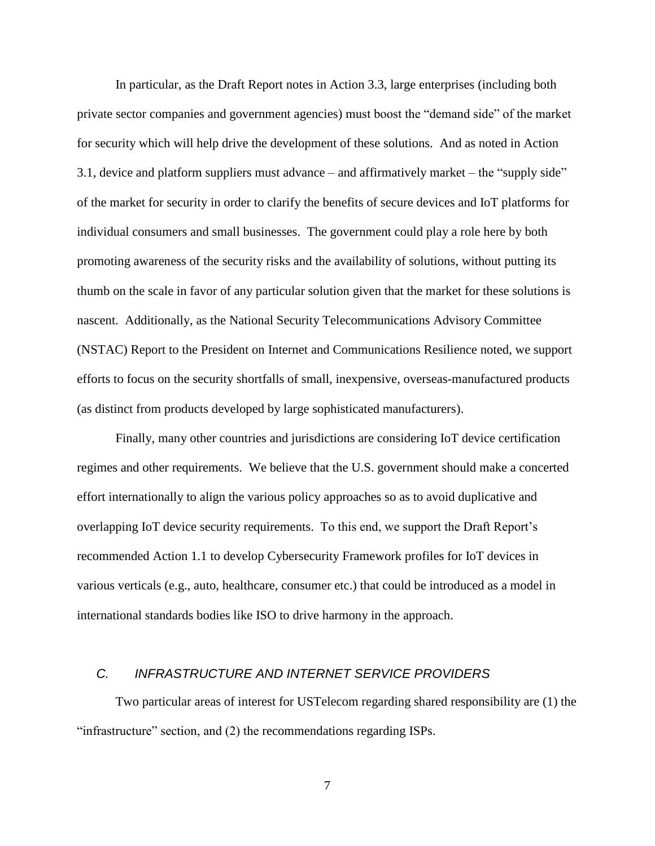In particular, as the Draft Report notes in Action 3.3, large enterprises (including both private sector companies and government agencies) must boost the "demand side" of the market for security which will help drive the development of these solutions. And as noted in Action 3.1, device and platform suppliers must advance – and affirmatively market – the "supply side" of the market for security in order to clarify the benefits of secure devices and IoT platforms for individual consumers and small businesses. The government could play a role here by both promoting awareness of the security risks and the availability of solutions, without putting its thumb on the scale in favor of any particular solution given that the market for these solutions is nascent. Additionally, as the National Security Telecommunications Advisory Committee (NSTAC) Report to the President on Internet and Communications Resilience noted, we support efforts to focus on the security shortfalls of small, inexpensive, overseas-manufactured products (as distinct from products developed by large sophisticated manufacturers).

Finally, many other countries and jurisdictions are considering IoT device certification regimes and other requirements. We believe that the U.S. government should make a concerted effort internationally to align the various policy approaches so as to avoid duplicative and overlapping IoT device security requirements. To this end, we support the Draft Report's recommended Action 1.1 to develop Cybersecurity Framework profiles for IoT devices in various verticals (e.g., auto, healthcare, consumer etc.) that could be introduced as a model in international standards bodies like ISO to drive harmony in the approach.

### <span id="page-8-0"></span>*C. INFRASTRUCTURE AND INTERNET SERVICE PROVIDERS*

Two particular areas of interest for USTelecom regarding shared responsibility are (1) the "infrastructure" section, and (2) the recommendations regarding ISPs.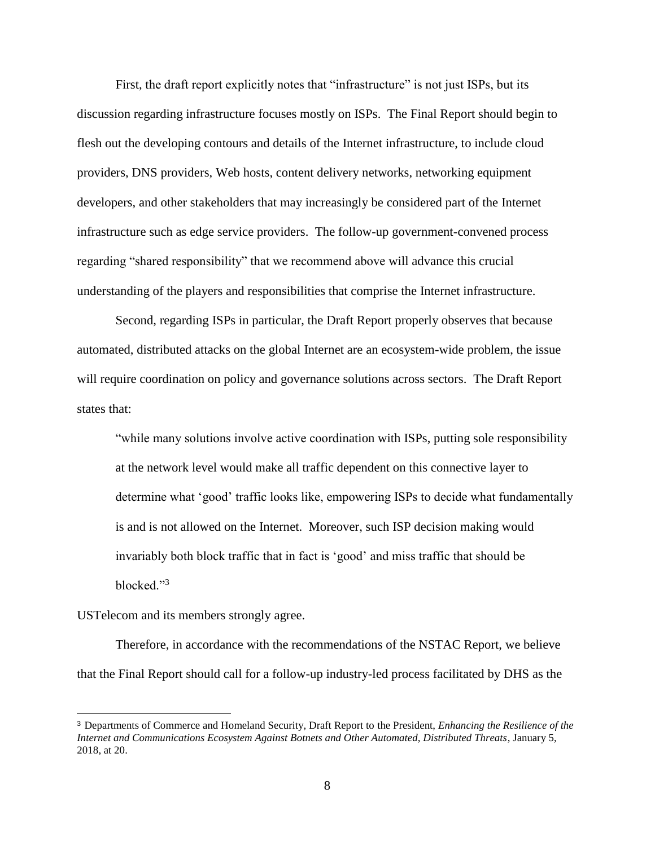First, the draft report explicitly notes that "infrastructure" is not just ISPs, but its discussion regarding infrastructure focuses mostly on ISPs. The Final Report should begin to flesh out the developing contours and details of the Internet infrastructure, to include cloud providers, DNS providers, Web hosts, content delivery networks, networking equipment developers, and other stakeholders that may increasingly be considered part of the Internet infrastructure such as edge service providers. The follow-up government-convened process regarding "shared responsibility" that we recommend above will advance this crucial understanding of the players and responsibilities that comprise the Internet infrastructure.

Second, regarding ISPs in particular, the Draft Report properly observes that because automated, distributed attacks on the global Internet are an ecosystem-wide problem, the issue will require coordination on policy and governance solutions across sectors. The Draft Report states that:

"while many solutions involve active coordination with ISPs, putting sole responsibility at the network level would make all traffic dependent on this connective layer to determine what 'good' traffic looks like, empowering ISPs to decide what fundamentally is and is not allowed on the Internet. Moreover, such ISP decision making would invariably both block traffic that in fact is 'good' and miss traffic that should be blocked."<sup>3</sup>

#### USTelecom and its members strongly agree.

 $\overline{a}$ 

Therefore, in accordance with the recommendations of the NSTAC Report, we believe that the Final Report should call for a follow-up industry-led process facilitated by DHS as the

<sup>3</sup> Departments of Commerce and Homeland Security, Draft Report to the President, *Enhancing the Resilience of the Internet and Communications Ecosystem Against Botnets and Other Automated, Distributed Threats*, January 5, 2018, at 20.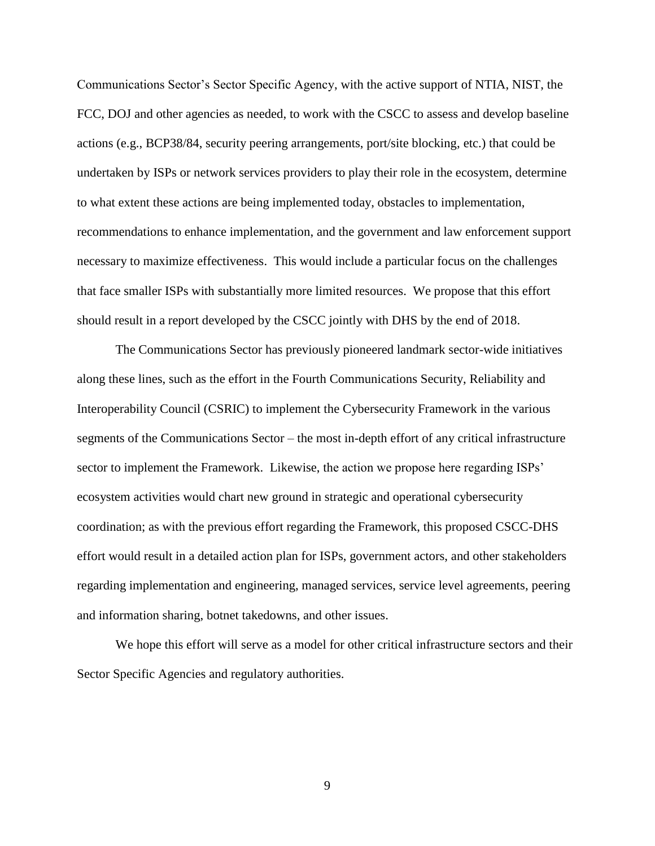Communications Sector's Sector Specific Agency, with the active support of NTIA, NIST, the FCC, DOJ and other agencies as needed, to work with the CSCC to assess and develop baseline actions (e.g., BCP38/84, security peering arrangements, port/site blocking, etc.) that could be undertaken by ISPs or network services providers to play their role in the ecosystem, determine to what extent these actions are being implemented today, obstacles to implementation, recommendations to enhance implementation, and the government and law enforcement support necessary to maximize effectiveness. This would include a particular focus on the challenges that face smaller ISPs with substantially more limited resources. We propose that this effort should result in a report developed by the CSCC jointly with DHS by the end of 2018.

The Communications Sector has previously pioneered landmark sector-wide initiatives along these lines, such as the effort in the Fourth Communications Security, Reliability and Interoperability Council (CSRIC) to implement the Cybersecurity Framework in the various segments of the Communications Sector – the most in-depth effort of any critical infrastructure sector to implement the Framework. Likewise, the action we propose here regarding ISPs' ecosystem activities would chart new ground in strategic and operational cybersecurity coordination; as with the previous effort regarding the Framework, this proposed CSCC-DHS effort would result in a detailed action plan for ISPs, government actors, and other stakeholders regarding implementation and engineering, managed services, service level agreements, peering and information sharing, botnet takedowns, and other issues.

We hope this effort will serve as a model for other critical infrastructure sectors and their Sector Specific Agencies and regulatory authorities.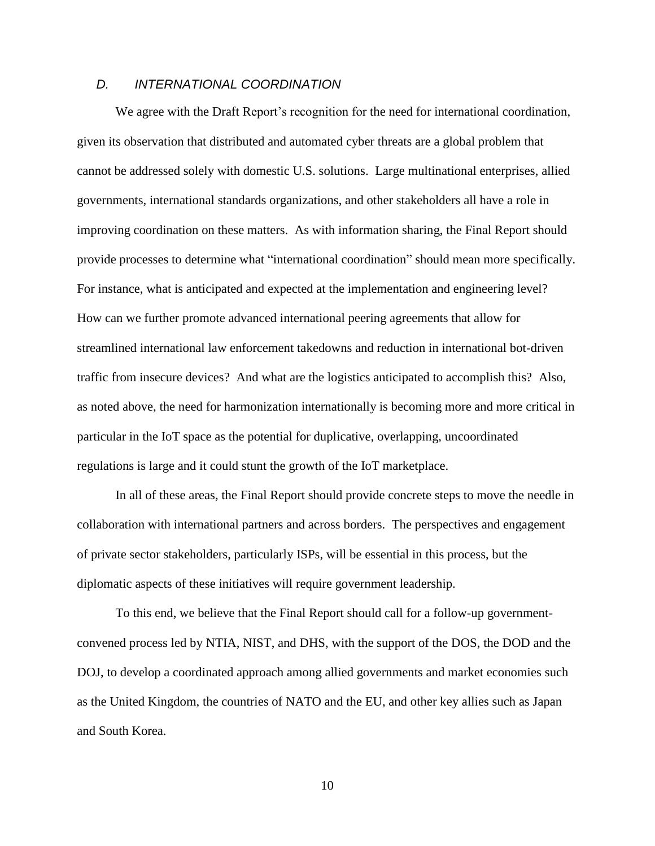### <span id="page-11-0"></span>*D. INTERNATIONAL COORDINATION*

We agree with the Draft Report's recognition for the need for international coordination, given its observation that distributed and automated cyber threats are a global problem that cannot be addressed solely with domestic U.S. solutions. Large multinational enterprises, allied governments, international standards organizations, and other stakeholders all have a role in improving coordination on these matters. As with information sharing, the Final Report should provide processes to determine what "international coordination" should mean more specifically. For instance, what is anticipated and expected at the implementation and engineering level? How can we further promote advanced international peering agreements that allow for streamlined international law enforcement takedowns and reduction in international bot-driven traffic from insecure devices? And what are the logistics anticipated to accomplish this? Also, as noted above, the need for harmonization internationally is becoming more and more critical in particular in the IoT space as the potential for duplicative, overlapping, uncoordinated regulations is large and it could stunt the growth of the IoT marketplace.

In all of these areas, the Final Report should provide concrete steps to move the needle in collaboration with international partners and across borders. The perspectives and engagement of private sector stakeholders, particularly ISPs, will be essential in this process, but the diplomatic aspects of these initiatives will require government leadership.

To this end, we believe that the Final Report should call for a follow-up governmentconvened process led by NTIA, NIST, and DHS, with the support of the DOS, the DOD and the DOJ, to develop a coordinated approach among allied governments and market economies such as the United Kingdom, the countries of NATO and the EU, and other key allies such as Japan and South Korea.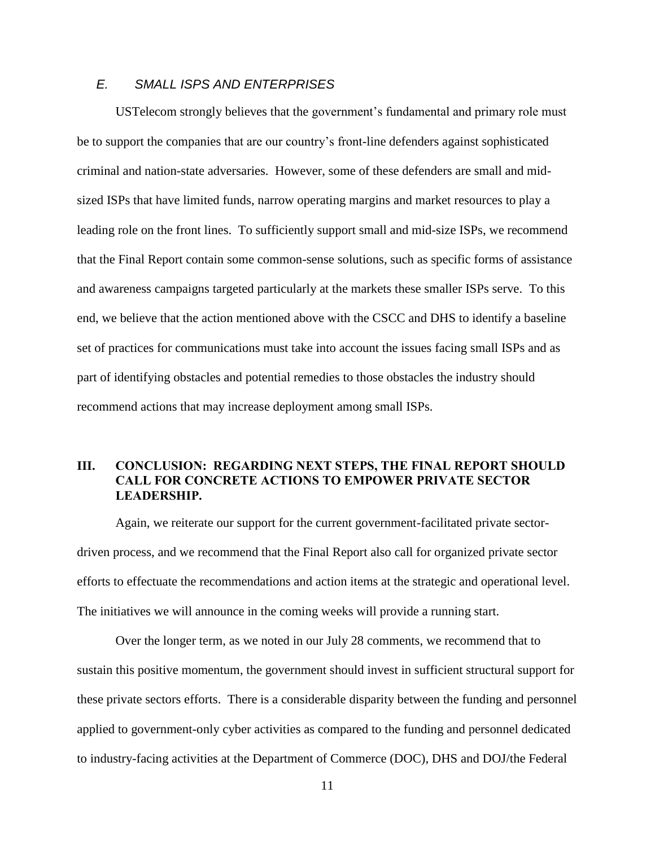## <span id="page-12-0"></span>*E. SMALL ISPS AND ENTERPRISES*

USTelecom strongly believes that the government's fundamental and primary role must be to support the companies that are our country's front-line defenders against sophisticated criminal and nation-state adversaries. However, some of these defenders are small and midsized ISPs that have limited funds, narrow operating margins and market resources to play a leading role on the front lines. To sufficiently support small and mid-size ISPs, we recommend that the Final Report contain some common-sense solutions, such as specific forms of assistance and awareness campaigns targeted particularly at the markets these smaller ISPs serve. To this end, we believe that the action mentioned above with the CSCC and DHS to identify a baseline set of practices for communications must take into account the issues facing small ISPs and as part of identifying obstacles and potential remedies to those obstacles the industry should recommend actions that may increase deployment among small ISPs.

### <span id="page-12-1"></span>**III. CONCLUSION: REGARDING NEXT STEPS, THE FINAL REPORT SHOULD CALL FOR CONCRETE ACTIONS TO EMPOWER PRIVATE SECTOR LEADERSHIP.**

Again, we reiterate our support for the current government-facilitated private sectordriven process, and we recommend that the Final Report also call for organized private sector efforts to effectuate the recommendations and action items at the strategic and operational level. The initiatives we will announce in the coming weeks will provide a running start.

Over the longer term, as we noted in our July 28 comments, we recommend that to sustain this positive momentum, the government should invest in sufficient structural support for these private sectors efforts. There is a considerable disparity between the funding and personnel applied to government-only cyber activities as compared to the funding and personnel dedicated to industry-facing activities at the Department of Commerce (DOC), DHS and DOJ/the Federal